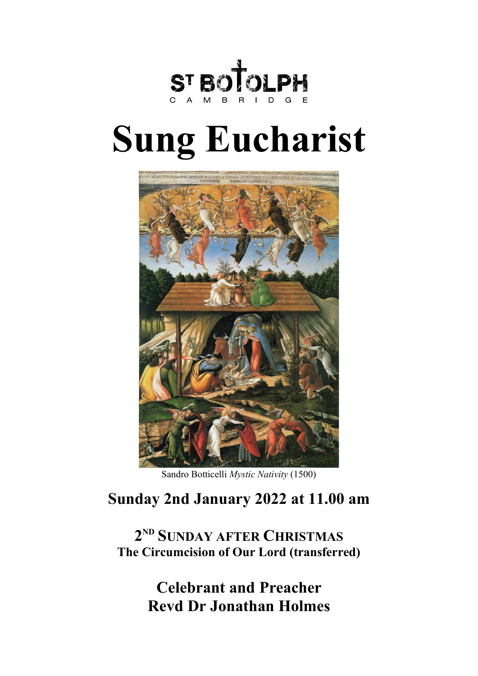

# **Sung Eucharist**



Sandro Botticelli *Mystic Nativity* (1500)

# **Sunday 2nd January 2022 at 11.00 am**

**2ND SUNDAY AFTER CHRISTMAS The Circumcision of Our Lord (transferred)**

> **Celebrant and Preacher Revd Dr Jonathan Holmes**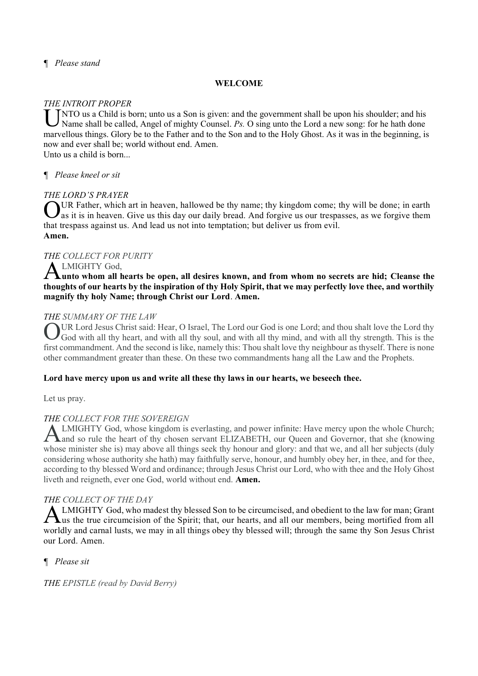# *¶ Please stand*

# **WELCOME**

# *THE INTROIT PROPER*

INTO us a Child is born; unto us a Son is given: and the government shall be upon his shoulder; and his Name shall be called, Angel of mighty Counsel. Ps. O sing unto the Lord a new song: for he hath done Name shall be called, Angel of mighty Counsel. *Ps.* O sing unto the Lord a new song: for he hath done marvellous things. Glory be to the Father and to the Son and to the Holy Ghost. As it was in the beginning, is now and ever shall be; world without end. Amen. Unto us a child is born...

# *¶ Please kneel or sit*

# *THE LORD'S PRAYER*

OUR Father, which art in heaven, hallowed be thy name; thy kingdom come; thy will be done; in earth as it is in heaven. Give us this day our daily bread. And forgive us our trespasses, as we forgive them **As it is in heaven.** Give us this day our daily bread. And forgive us our trespasses, as we forgive them that trespass against us. And lead us not into temptation; but deliver us from evil. **Amen.**

# *THE COLLECT FOR PURITY*

# LMIGHTY God,

**unto whom all hearts be open, all desires known, and from whom no secrets are hid; Cleanse the thoughts of our hearts by the inspiration of thy Holy Spirit, that we may perfectly love thee, and worthily magnify thy holy Name; through Christ our Lord**. **Amen.**  A

# *THE SUMMARY OF THE LAW*

UR Lord Jesus Christ said: Hear, O Israel, The Lord our God is one Lord; and thou shalt love the Lord thy OUR Lord Jesus Christ said: Hear, O Israel, The Lord our God is one Lord; and thou shalt love the Lord thy God with all thy heart, and with all thy soul, and with all thy mind, and with all thy strength. This is the first commandment. And the second is like, namely this: Thou shalt love thy neighbour as thyself. There is none other commandment greater than these. On these two commandments hang all the Law and the Prophets.

#### **Lord have mercy upon us and write all these thy laws in our hearts, we beseech thee.**

Let us pray.

# *THE COLLECT FOR THE SOVEREIGN*

LMIGHTY God, whose kingdom is everlasting, and power infinite: Have mercy upon the whole Church; and so rule the heart of thy chosen servant ELIZABETH, our Queen and Governor, that she (knowing whose minister she is) may above all things seek thy honour and glory: and that we, and all her subjects (duly considering whose authority she hath) may faithfully serve, honour, and humbly obey her, in thee, and for thee, according to thy blessed Word and ordinance; through Jesus Christ our Lord, who with thee and the Holy Ghost liveth and reigneth, ever one God, world without end. **Amen.** A

# *THE COLLECT OF THE DAY*

LMIGHTY God, who madest thy blessed Son to be circumcised, and obedient to the law for man; Grant ALMIGHTY God, who madest thy blessed Son to be circumcised, and obedient to the law for man; Grant Lus the true circumcision of the Spirit; that, our hearts, and all our members, being mortified from all worldly and carnal lusts, we may in all things obey thy blessed will; through the same thy Son Jesus Christ our Lord. Amen.

# *¶ Please sit*

*THE EPISTLE (read by David Berry)*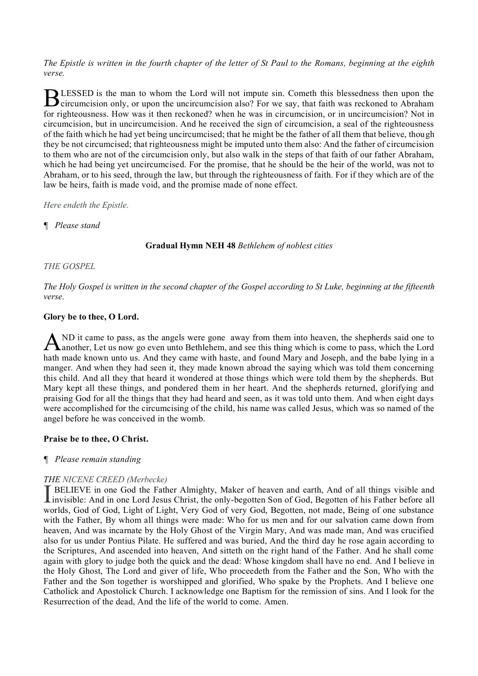*The Epistle is written in the fourth chapter of the letter of St Paul to the Romans, beginning at the eighth verse.*

LESSED is the man to whom the Lord will not impute sin. Cometh this blessedness then upon the BLESSED is the man to whom the Lord will not impute sin. Cometh this blessedness then upon the circumcision only, or upon the uncircumcision also? For we say, that faith was reckoned to Abraham for righteousness. How was it then reckoned? when he was in circumcision, or in uncircumcision? Not in circumcision, but in uncircumcision. And he received the sign of circumcision, a seal of the righteousness of the faith which he had yet being uncircumcised; that he might be the father of all them that believe, though they be not circumcised; that righteousness might be imputed unto them also: And the father of circumcision to them who are not of the circumcision only, but also walk in the steps of that faith of our father Abraham, which he had being yet uncircumcised. For the promise, that he should be the heir of the world, was not to Abraham, or to his seed, through the law, but through the righteousness of faith. For if they which are of the law be heirs, faith is made void, and the promise made of none effect.

*Here endeth the Epistle.*

# *¶ Please stand*

# **Gradual Hymn NEH 48** *Bethlehem of noblest cities*

# *THE GOSPEL*

*The Holy Gospel is written in the second chapter of the Gospel according to St Luke, beginning at the fifteenth verse.*

# **Glory be to thee, O Lord.**

ND it came to pass, as the angels were gone away from them into heaven, the shepherds said one to another, Let us now go even unto Bethlehem, and see this thing which is come to pass, which the Lord hath made known unto us. And they came with haste, and found Mary and Joseph, and the babe lying in a manger. And when they had seen it, they made known abroad the saying which was told them concerning this child. And all they that heard it wondered at those things which were told them by the shepherds. But Mary kept all these things, and pondered them in her heart. And the shepherds returned, glorifying and praising God for all the things that they had heard and seen, as it was told unto them. And when eight days were accomplished for the circumcising of the child, his name was called Jesus, which was so named of the angel before he was conceived in the womb. A

#### **Praise be to thee, O Christ.**

#### *¶ Please remain standing*

# *THE NICENE CREED (Merbecke)*

BELIEVE in one God the Father Almighty, Maker of heaven and earth, And of all things visible and **INSTREME CRIME CRIME** (MORSCON)<br>
INCREDUCE in one God the Father Almighty, Maker of heaven and earth, And of all things visible and<br>
Invisible: And in one Lord Jesus Christ, the only-begotten Son of God, Begotten of his F worlds, God of God, Light of Light, Very God of very God, Begotten, not made, Being of one substance with the Father, By whom all things were made: Who for us men and for our salvation came down from heaven, And was incarnate by the Holy Ghost of the Virgin Mary, And was made man, And was crucified also for us under Pontius Pilate. He suffered and was buried, And the third day he rose again according to the Scriptures, And ascended into heaven, And sitteth on the right hand of the Father. And he shall come again with glory to judge both the quick and the dead: Whose kingdom shall have no end. And I believe in the Holy Ghost, The Lord and giver of life, Who proceedeth from the Father and the Son, Who with the Father and the Son together is worshipped and glorified, Who spake by the Prophets. And I believe one Catholick and Apostolick Church. I acknowledge one Baptism for the remission of sins. And I look for the Resurrection of the dead, And the life of the world to come. Amen.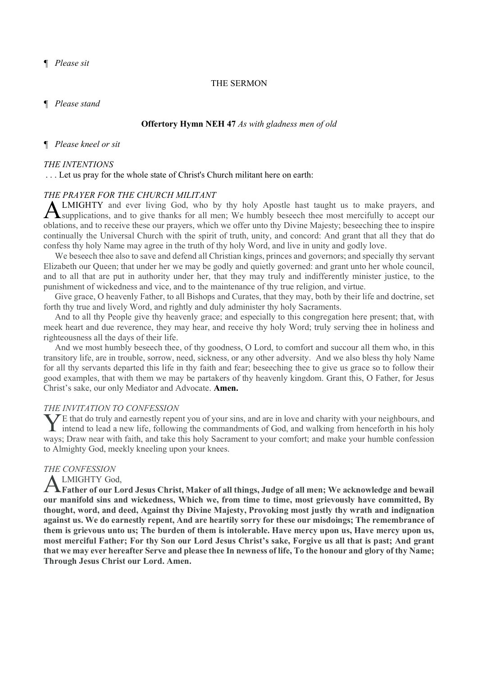*¶ Please sit*

#### THE SERMON

*¶ Please stand*

#### **Offertory Hymn NEH 47** *As with gladness men of old*

#### *¶ Please kneel or sit*

#### *THE INTENTIONS*

#### . . . Let us pray for the whole state of Christ's Church militant here on earth:

#### *THE PRAYER FOR THE CHURCH MILITANT*

LMIGHTY and ever living God, who by thy holy Apostle hast taught us to make prayers, and supplications, and to give thanks for all men; We humbly beseech thee most mercifully to accept our oblations, and to receive these our prayers, which we offer unto thy Divine Majesty; beseeching thee to inspire continually the Universal Church with the spirit of truth, unity, and concord: And grant that all they that do confess thy holy Name may agree in the truth of thy holy Word, and live in unity and godly love. A

We beseech thee also to save and defend all Christian kings, princes and governors; and specially thy servant Elizabeth our Queen; that under her we may be godly and quietly governed: and grant unto her whole council, and to all that are put in authority under her, that they may truly and indifferently minister justice, to the punishment of wickedness and vice, and to the maintenance of thy true religion, and virtue.

Give grace, O heavenly Father, to all Bishops and Curates, that they may, both by their life and doctrine, set forth thy true and lively Word, and rightly and duly administer thy holy Sacraments.

And to all thy People give thy heavenly grace; and especially to this congregation here present; that, with meek heart and due reverence, they may hear, and receive thy holy Word; truly serving thee in holiness and righteousness all the days of their life.

And we most humbly beseech thee, of thy goodness, O Lord, to comfort and succour all them who, in this transitory life, are in trouble, sorrow, need, sickness, or any other adversity. And we also bless thy holy Name for all thy servants departed this life in thy faith and fear; beseeching thee to give us grace so to follow their good examples, that with them we may be partakers of thy heavenly kingdom. Grant this, O Father, for Jesus Christ's sake, our only Mediator and Advocate. **Amen.** 

#### *THE INVITATION TO CONFESSION*

E that do truly and earnestly repent you of your sins, and are in love and charity with your neighbours, and The final final to truly and earnestly repent you of your sins, and are in love and charity with your neighbours, and intend to lead a new life, following the commandments of God, and walking from henceforth in his holy ways; Draw near with faith, and take this holy Sacrament to your comfort; and make your humble confession to Almighty God, meekly kneeling upon your knees.

#### *THE CONFESSION*

#### LMIGHTY God,

**Father of our Lord Jesus Christ, Maker of all things, Judge of all men; We acknowledge and bewail**  A**our manifold sins and wickedness, Which we, from time to time, most grievously have committed, By thought, word, and deed, Against thy Divine Majesty, Provoking most justly thy wrath and indignation against us. We do earnestly repent, And are heartily sorry for these our misdoings; The remembrance of them is grievous unto us; The burden of them is intolerable. Have mercy upon us, Have mercy upon us, most merciful Father; For thy Son our Lord Jesus Christ's sake, Forgive us all that is past; And grant that we may ever hereafter Serve and please thee In newness of life, To the honour and glory of thy Name; Through Jesus Christ our Lord. Amen.**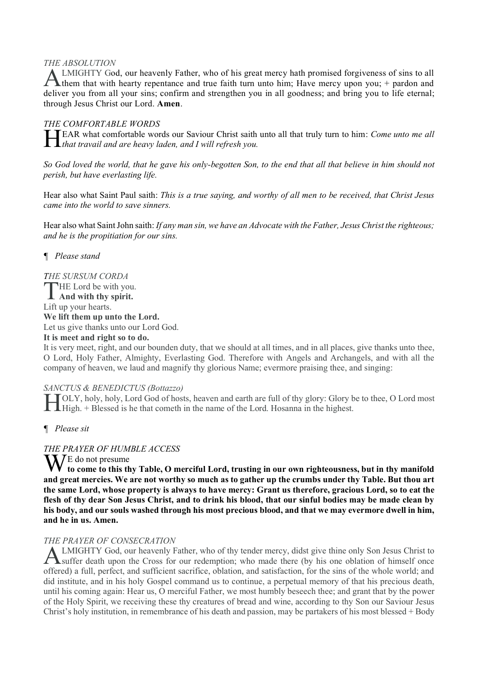# *THE ABSOLUTION*

LMIGHTY God, our heavenly Father, who of his great mercy hath promised forgiveness of sins to all ALMIGHTY God, our heavenly Father, who of his great mercy hath promised forgiveness of sins to all them that with hearty repentance and true faith turn unto him; Have mercy upon you; + pardon and deliver you from all your sins; confirm and strengthen you in all goodness; and bring you to life eternal; through Jesus Christ our Lord. **Amen**.

# *THE COMFORTABLE WORDS*

EAR what comfortable words our Saviour Christ saith unto all that truly turn to him: *Come unto me all*  **that travail and are heavy laden, and I will refresh you.**<br>Heavy laden, and I will refresh you.

*So God loved the world, that he gave his only-begotten Son, to the end that all that believe in him should not perish, but have everlasting life.*

Hear also what Saint Paul saith: *This is a true saying, and worthy of all men to be received, that Christ Jesus came into the world to save sinners.*

Hear also what Saint John saith: *If any man sin, we have an Advocate with the Father, Jesus Christ the righteous; and he is the propitiation for our sins.*

# *¶ Please stand*

# *THE SURSUM CORDA*

THE Lord be with you. **And with thy spirit.** Lift up your hearts. **We lift them up unto the Lord.** Let us give thanks unto our Lord God. **It is meet and right so to do.** 

It is very meet, right, and our bounden duty, that we should at all times, and in all places, give thanks unto thee, O Lord, Holy Father, Almighty, Everlasting God. Therefore with Angels and Archangels, and with all the company of heaven, we laud and magnify thy glorious Name; evermore praising thee, and singing:

#### *SANCTUS & BENEDICTUS (Bottazzo)*

OLY, holy, holy, Lord God of hosts, heaven and earth are full of thy glory: Glory be to thee, O Lord most High. + Blessed is he that cometh in the name of the Lord. Hosanna in the highest.

*¶ Please sit*

#### *THE PRAYER OF HUMBLE ACCESS*

W<sup>E</sup> do not presume **to come to this thy Table, O merciful Lord, trusting in our own righteousness, but in thy manifold and great mercies. We are not worthy so much as to gather up the crumbs under thy Table. But thou art the same Lord, whose property is always to have mercy: Grant us therefore, gracious Lord, so to eat the flesh of thy dear Son Jesus Christ, and to drink his blood, that our sinful bodies may be made clean by his body, and our souls washed through his most precious blood, and that we may evermore dwell in him, and he in us. Amen.**

#### *THE PRAYER OF CONSECRATION*

LMIGHTY God, our heavenly Father, who of thy tender mercy, didst give thine only Son Jesus Christ to **ALMIGHTY God, our heavenly Father, who of thy tender mercy, didst give thine only Son Jesus Christ to Suffer death upon the Cross for our redemption; who made there (by his one oblation of himself once** offered) a full, perfect, and sufficient sacrifice, oblation, and satisfaction, for the sins of the whole world; and did institute, and in his holy Gospel command us to continue, a perpetual memory of that his precious death, until his coming again: Hear us, O merciful Father, we most humbly beseech thee; and grant that by the power of the Holy Spirit, we receiving these thy creatures of bread and wine, according to thy Son our Saviour Jesus Christ's holy institution, in remembrance of his death and passion, may be partakers of his most blessed + Body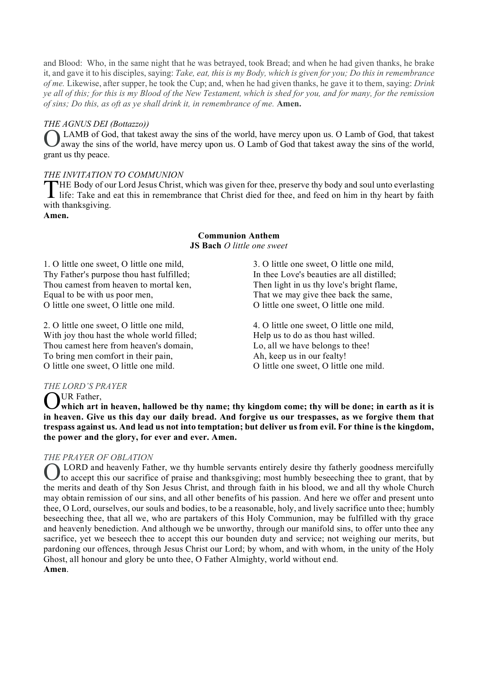and Blood: Who, in the same night that he was betrayed, took Bread; and when he had given thanks, he brake it, and gave it to his disciples, saying: *Take, eat, this is my Body, which is given for you; Do this in remembrance of me.* Likewise, after supper, he took the Cup; and, when he had given thanks, he gave it to them, saying: *Drink ye all of this; for this is my Blood of the New Testament, which is shed for you, and for many, for the remission of sins; Do this, as oft as ye shall drink it, in remembrance of me.* **Amen.**

# *THE AGNUS DEI (Bottazzo))*

LAMB of God, that takest away the sins of the world, have mercy upon us. O Lamb of God, that takest O away the sins of the world, have mercy upon us. O Lamb of God that takest away the sins of the world, grant us thy peace.

# *THE INVITATION TO COMMUNION*

HE Body of our Lord Jesus Christ, which was given for thee, preserve thy body and soul unto everlasting THE Body of our Lord Jesus Christ, which was given for thee, preserve thy body and soul unto everlasting life: Take and eat this in remembrance that Christ died for thee, and feed on him in thy heart by faith with thanksgiving.

**Amen.**

#### **Communion Anthem JS Bach** *O little one sweet*

1. O little one sweet, O little one mild, Thy Father's purpose thou hast fulfilled; Thou camest from heaven to mortal ken, Equal to be with us poor men, O little one sweet, O little one mild.

2. O little one sweet, O little one mild, With joy thou hast the whole world filled; Thou camest here from heaven's domain, To bring men comfort in their pain, O little one sweet, O little one mild.

3. O little one sweet, O little one mild, In thee Love's beauties are all distilled; Then light in us thy love's bright flame, That we may give thee back the same, O little one sweet, O little one mild.

4. O little one sweet, O little one mild, Help us to do as thou hast willed. Lo, all we have belongs to thee! Ah, keep us in our fealty! O little one sweet, O little one mild.

# *THE LORD'S PRAYER*

UR Father,

**which art in heaven, hallowed be thy name; thy kingdom come; thy will be done; in earth as it is in heaven. Give us this day our daily bread. And forgive us our trespasses, as we forgive them that trespass against us. And lead us not into temptation; but deliver us from evil. For thine is the kingdom, the power and the glory, for ever and ever. Amen.** O

# *THE PRAYER OF OBLATION*

LORD and heavenly Father, we thy humble servants entirely desire thy fatherly goodness mercifully to accept this our sacrifice of praise and thanksgiving; most humbly beseeching thee to grant, that by the merits and death of thy Son Jesus Christ, and through faith in his blood, we and all thy whole Church may obtain remission of our sins, and all other benefits of his passion. And here we offer and present unto thee, O Lord, ourselves, our souls and bodies, to be a reasonable, holy, and lively sacrifice unto thee; humbly beseeching thee, that all we, who are partakers of this Holy Communion, may be fulfilled with thy grace and heavenly benediction. And although we be unworthy, through our manifold sins, to offer unto thee any sacrifice, yet we beseech thee to accept this our bounden duty and service; not weighing our merits, but pardoning our offences, through Jesus Christ our Lord; by whom, and with whom, in the unity of the Holy Ghost, all honour and glory be unto thee, O Father Almighty, world without end. **Amen**. O